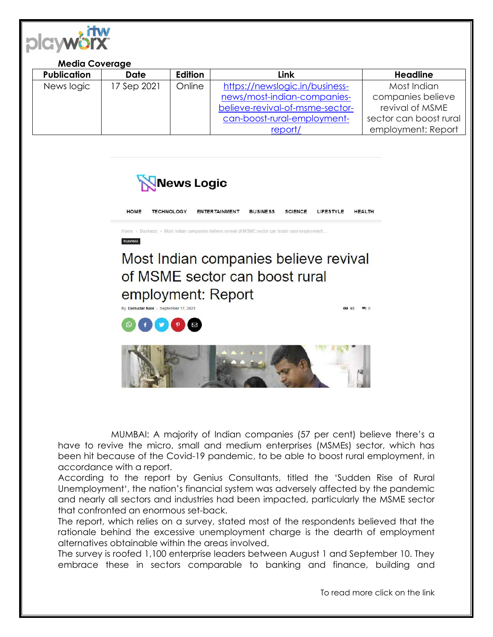

## **Media Coverage**

| <b>Publication</b> | Date        | Edition | Link                            | <b>Headline</b>        |
|--------------------|-------------|---------|---------------------------------|------------------------|
| News logic         | 17 Sep 2021 | Online  | https://newslogic.in/business-  | Most Indian            |
|                    |             |         | news/most-indian-companies-     | companies believe      |
|                    |             |         | believe-revival-of-msme-sector- | revival of MSME        |
|                    |             |         | can-boost-rural-employment-     | sector can boost rural |
|                    |             |         | report/                         | employment: Report     |







MUMBAI: A majority of Indian companies (57 per cent) believe there's a have to revive the micro, small and medium enterprises (MSMEs) sector, which has been hit because of the Covid-19 pandemic, to be able to boost rural employment, in accordance with a report.

According to the report by Genius Consultants, titled the 'Sudden Rise of Rural Unemployment', the nation's financial system was adversely affected by the pandemic and nearly all sectors and industries had been impacted, particularly the MSME sector that confronted an enormous set-back.

The report, which relies on a survey, stated most of the respondents believed that the rationale behind the excessive unemployment charge is the dearth of employment alternatives obtainable within the areas involved.

The survey is roofed 1,100 enterprise leaders between August 1 and September 10. They embrace these in sectors comparable to banking and finance, building and

To read more click on the link